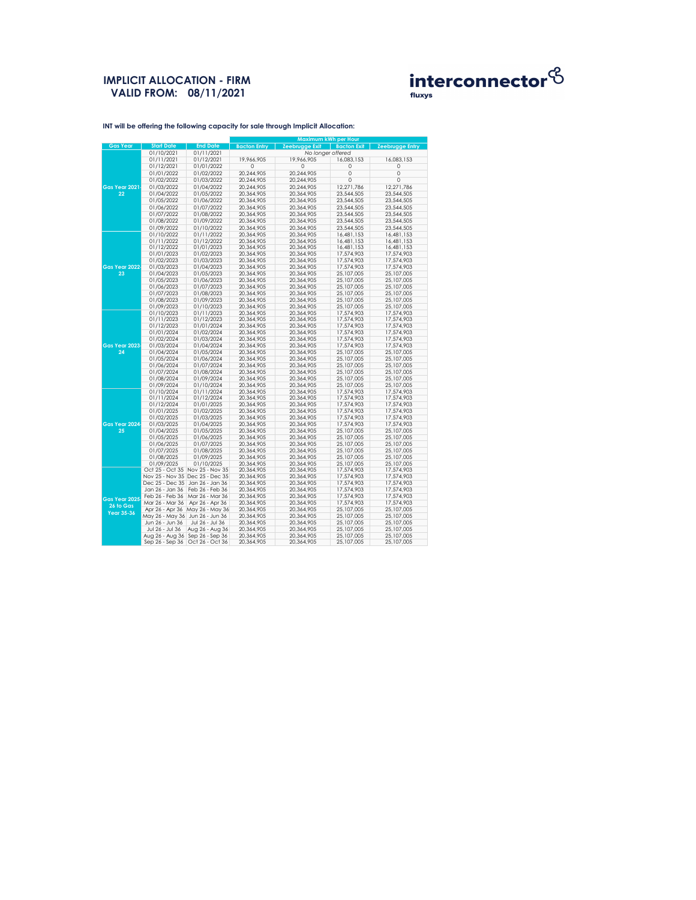## **IMPLICIT ALLOCATION - FIRM VALID FROM: 08/11/2021**



|                            |                   |                 | <b>Maximum kWh per Hour</b> |                       |                    |                        |  |
|----------------------------|-------------------|-----------------|-----------------------------|-----------------------|--------------------|------------------------|--|
| <b>Gas Year</b>            | <b>Start Date</b> | <b>End Date</b> | <b>Bacton Entry</b>         | <b>Zeebrugge Exit</b> | <b>Bacton Exit</b> | <b>Zeebrugge Entry</b> |  |
|                            | 01/10/2021        | 01/11/2021      |                             | No longer offered     |                    |                        |  |
|                            | 01/11/2021        | 01/12/2021      | 19,966,905                  | 19,966,905            | 16,083,153         | 16,083,153             |  |
|                            | 01/12/2021        | 01/01/2022      | 0                           | $\mathbf 0$           | 0                  | 0                      |  |
|                            | 01/01/2022        | 01/02/2022      | 20,244,905                  | 20,244,905            | 0                  | 0                      |  |
|                            | 01/02/2022        | 01/03/2022      | 20,244,905                  | 20,244,905            | 0                  | 0                      |  |
|                            | 01/03/2022        | 01/04/2022      |                             |                       |                    |                        |  |
| <b>Gas Year 2021</b><br>22 |                   |                 | 20,244,905                  | 20,244,905            | 12,271,786         | 12,271,786             |  |
|                            | 01/04/2022        | 01/05/2022      | 20,364,905                  | 20,364,905            | 23,544,505         | 23,544,505             |  |
|                            | 01/05/2022        | 01/06/2022      | 20,364,905                  | 20,364,905            | 23,544,505         | 23,544,505             |  |
|                            | 01/06/2022        | 01/07/2022      | 20,364,905                  | 20,364,905            | 23,544,505         | 23,544,505             |  |
|                            | 01/07/2022        | 01/08/2022      | 20,364,905                  | 20,364,905            | 23,544,505         | 23,544,505             |  |
|                            | 01/08/2022        | 01/09/2022      | 20,364,905                  | 20,364,905            | 23,544,505         | 23,544,505             |  |
|                            | 01/09/2022        | 01/10/2022      | 20,364,905                  | 20,364,905            | 23,544,505         | 23,544,505             |  |
|                            | 01/10/2022        | 01/11/2022      | 20,364,905                  | 20,364,905            | 16,481,153         | 16,481,153             |  |
|                            | 01/11/2022        | 01/12/2022      | 20,364,905                  | 20,364,905            | 16,481,153         | 16,481,153             |  |
|                            | 01/12/2022        | 01/01/2023      | 20,364,905                  | 20,364,905            | 16,481,153         | 16,481,153             |  |
|                            | 01/01/2023        | 01/02/2023      | 20,364,905                  | 20,364,905            | 17,574,903         | 17,574,903             |  |
|                            | 01/02/2023        | 01/03/2023      | 20,364,905                  | 20,364,905            | 17,574,903         | 17,574,903             |  |
| <b>Gas Year 2022</b>       | 01/03/2023        | 01/04/2023      | 20,364,905                  | 20,364,905            | 17,574,903         | 17,574,903             |  |
| 23                         | 01/04/2023        | 01/05/2023      | 20,364,905                  | 20,364,905            | 25,107,005         | 25,107,005             |  |
|                            | 01/05/2023        | 01/06/2023      | 20,364,905                  | 20,364,905            | 25,107,005         | 25,107,005             |  |
|                            | 01/06/2023        | 01/07/2023      | 20,364,905                  | 20,364,905            | 25,107,005         | 25,107,005             |  |
|                            |                   |                 |                             |                       |                    |                        |  |
|                            | 01/07/2023        | 01/08/2023      | 20,364,905                  | 20,364,905            | 25,107,005         | 25,107,005             |  |
|                            | 01/08/2023        | 01/09/2023      | 20,364,905                  | 20,364,905            | 25,107,005         | 25,107,005             |  |
|                            | 01/09/2023        | 01/10/2023      | 20,364,905                  | 20,364,905            | 25,107,005         | 25,107,005             |  |
|                            | 01/10/2023        | 01/11/2023      | 20,364,905                  | 20,364,905            | 17,574,903         | 17,574,903             |  |
|                            | 01/11/2023        | 01/12/2023      | 20,364,905                  | 20,364,905            | 17,574,903         | 17,574,903             |  |
|                            | 01/12/2023        | 01/01/2024      | 20,364,905                  | 20,364,905            | 17,574,903         | 17,574,903             |  |
|                            | 01/01/2024        | 01/02/2024      | 20,364,905                  | 20,364,905            | 17,574,903         | 17,574,903             |  |
|                            | 01/02/2024        | 01/03/2024      | 20,364,905                  | 20,364,905            | 17,574,903         | 17,574,903             |  |
| <b>Gas Year 2023</b>       | 01/03/2024        | 01/04/2024      | 20,364,905                  | 20,364,905            | 17,574,903         | 17,574,903             |  |
| 24                         | 01/04/2024        | 01/05/2024      | 20,364,905                  | 20,364,905            | 25,107,005         | 25,107,005             |  |
|                            | 01/05/2024        | 01/06/2024      | 20,364,905                  | 20,364,905            | 25,107,005         | 25,107,005             |  |
|                            | 01/06/2024        | 01/07/2024      | 20,364,905                  | 20,364,905            | 25,107,005         | 25,107,005             |  |
|                            | 01/07/2024        | 01/08/2024      | 20,364,905                  | 20,364,905            | 25,107,005         | 25,107,005             |  |
|                            | 01/08/2024        | 01/09/2024      | 20,364,905                  | 20,364,905            | 25,107,005         | 25,107,005             |  |
|                            | 01/09/2024        | 01/10/2024      | 20,364,905                  | 20,364,905            | 25,107,005         | 25,107,005             |  |
|                            | 01/10/2024        | 01/11/2024      | 20,364,905                  | 20,364,905            | 17,574,903         | 17,574,903             |  |
|                            | 01/11/2024        | 01/12/2024      | 20,364,905                  | 20,364,905            | 17,574,903         | 17,574,903             |  |
|                            | 01/12/2024        | 01/01/2025      | 20,364,905                  | 20,364,905            | 17,574,903         | 17,574,903             |  |
|                            | 01/01/2025        | 01/02/2025      | 20,364,905                  | 20,364,905            | 17,574,903         | 17,574,903             |  |
|                            | 01/02/2025        | 01/03/2025      | 20,364,905                  | 20,364,905            | 17,574,903         | 17,574,903             |  |
| Gas Year 2024              | 01/03/2025        | 01/04/2025      | 20,364,905                  | 20,364,905            | 17,574,903         | 17,574,903             |  |
| 25                         | 01/04/2025        | 01/05/2025      | 20,364,905                  | 20,364,905            | 25,107,005         | 25,107,005             |  |
|                            | 01/05/2025        | 01/06/2025      | 20,364,905                  | 20,364,905            | 25,107,005         | 25,107,005             |  |
|                            | 01/06/2025        | 01/07/2025      | 20,364,905                  | 20,364,905            | 25,107,005         | 25,107,005             |  |
|                            | 01/07/2025        | 01/08/2025      | 20,364,905                  | 20,364,905            | 25,107,005         | 25,107,005             |  |
|                            | 01/08/2025        | 01/09/2025      | 20,364,905                  | 20,364,905            | 25,107,005         | 25,107,005             |  |
|                            | 01/09/2025        | 01/10/2025      | 20,364,905                  | 20,364,905            | 25,107,005         | 25,107,005             |  |
|                            |                   |                 |                             |                       |                    |                        |  |
|                            | Oct 25 - Oct 35   | Nov 25 - Nov 35 | 20,364,905                  | 20,364,905            | 17,574,903         | 17,574,903             |  |
|                            | Nov 25 - Nov 35   | Dec 25 - Dec 35 | 20,364,905                  | 20,364,905            | 17,574,903         | 17,574,903             |  |
|                            | Dec 25 - Dec 35   | Jan 26 - Jan 36 | 20,364,905                  | 20,364,905            | 17,574,903         | 17,574,903             |  |
|                            | Jan 26 - Jan 36   | Feb 26 - Feb 36 | 20,364,905                  | 20,364,905            | 17,574,903         | 17,574,903             |  |
| <b>Gas Year 2025</b>       | Feb 26 - Feb 36   | Mar 26 - Mar 36 | 20,364,905                  | 20,364,905            | 17,574,903         | 17,574,903             |  |
| 26 to Gas                  | Mar 26 - Mar 36   | Apr 26 - Apr 36 | 20,364,905                  | 20,364,905            | 17,574,903         | 17,574,903             |  |
| <b>Year 35-36</b>          | Apr 26 - Apr 36   | May 26 - May 36 | 20,364,905                  | 20,364,905            | 25,107,005         | 25,107,005             |  |
|                            | May 26 - May 36   | Jun 26 - Jun 36 | 20,364,905                  | 20,364,905            | 25,107,005         | 25,107,005             |  |
|                            | Jun 26 - Jun 36   | Jul 26 - Jul 36 | 20,364,905                  | 20,364,905            | 25,107,005         | 25,107,005             |  |
|                            | Jul 26 - Jul 36   | Aug 26 - Aug 36 | 20,364,905                  | 20,364,905            | 25,107,005         | 25,107,005             |  |
|                            | Aug 26 - Aug 36   | Sep 26 - Sep 36 | 20,364,905                  | 20,364,905            | 25,107,005         | 25,107,005             |  |
|                            | Sep 26 - Sep 36   | Oct 26 - Oct 36 | 20,364,905                  | 20,364,905            | 25,107,005         | 25,107,005             |  |

**INT will be offering the following capacity for sale through Implicit Allocation:**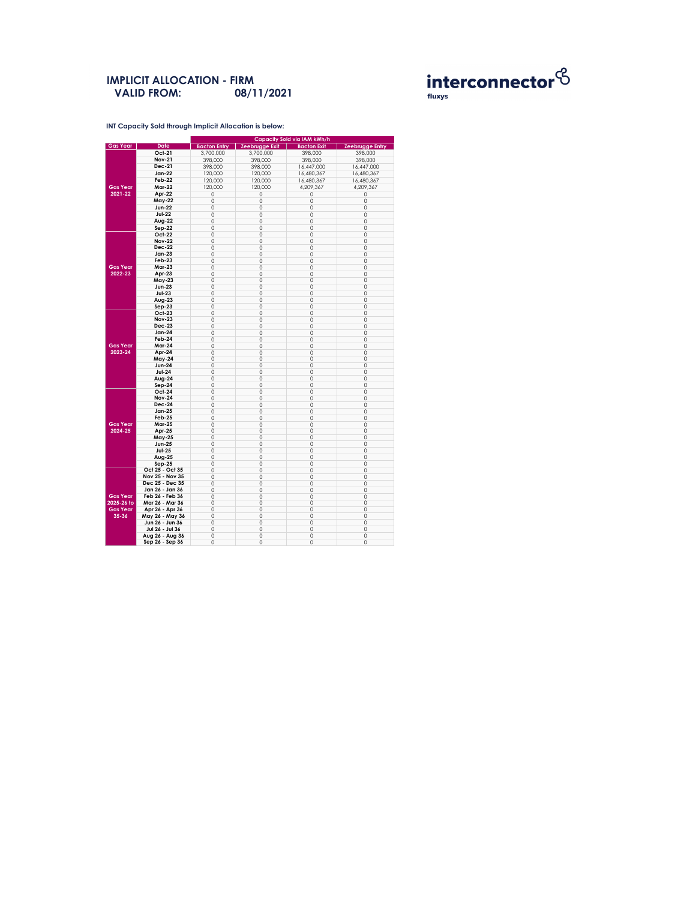**INT Capacity Sold through Implicit Allocation is below:** 

#### **IMPLICIT ALLOCATION - FIRM 08/11/2021 VALID FROM:**



|                 |                        | <b>Capacity Sold via IAM kWh/h</b> |                       |                    |                        |  |  |  |
|-----------------|------------------------|------------------------------------|-----------------------|--------------------|------------------------|--|--|--|
| <b>Gas Year</b> | <b>Date</b>            | <b>Bacton Entry</b>                | <b>Zeebrugge Exit</b> | <b>Bacton Exit</b> | <b>Zeebrugge Entry</b> |  |  |  |
|                 | <b>Oct-21</b>          | 3,700,000                          | 3,700,000             | 398,000            | 398,000                |  |  |  |
|                 | <b>Nov-21</b>          | 398,000                            | 398,000               | 398,000            | 398,000                |  |  |  |
|                 | <b>Dec-21</b>          | 398,000                            | 398,000               | 16,447,000         | 16,447,000             |  |  |  |
|                 | <b>Jan-22</b>          | 120,000                            | 120,000               | 16,480,367         | 16,480,367             |  |  |  |
|                 | <b>Feb-22</b>          |                                    |                       |                    |                        |  |  |  |
|                 |                        | 120,000                            | 120,000               | 16,480,367         | 16,480,367             |  |  |  |
| <b>Gas Year</b> | <b>Mar-22</b>          | 120,000                            | 120,000               | 4,209,367          | 4,209,367              |  |  |  |
| 2021-22         | Apr-22                 | 0                                  | 0                     | 0                  | 0                      |  |  |  |
|                 | <b>May-22</b>          | 0                                  | 0                     | 0                  | O                      |  |  |  |
|                 | <b>Jun-22</b>          | 0                                  | 0                     | 0                  | 0                      |  |  |  |
|                 | <b>Jul-22</b>          | $\mathsf O$                        | 0                     | 0                  | $\mathbf 0$            |  |  |  |
|                 | <b>Aug-22</b>          | 0                                  | 0                     | 0                  | 0                      |  |  |  |
|                 |                        |                                    |                       |                    |                        |  |  |  |
|                 | $Sep-22$               | 0                                  | 0                     | 0                  | 0                      |  |  |  |
|                 | <b>Oct-22</b>          | 0                                  | $\overline{O}$        | 0                  | $\mathbf 0$            |  |  |  |
|                 | <b>Nov-22</b>          | $\mathsf{O}\xspace$                | $\overline{0}$        | 0                  | $\overline{0}$         |  |  |  |
|                 | <b>Dec-22</b>          | 0                                  | 0                     | 0                  | 0                      |  |  |  |
|                 | <b>Jan-23</b>          | 0                                  | 0                     | $\overline{0}$     | 0                      |  |  |  |
|                 | <b>Feb-23</b>          | 0                                  | $\mathbf 0$           | 0                  | $\mathbf 0$            |  |  |  |
| <b>Gas Year</b> | <b>Mar-23</b>          | $\mathsf O$                        | $\mathbf 0$           | 0                  | $\overline{0}$         |  |  |  |
| 2022-23         | Apr-23                 | 0                                  | 0                     | 0                  | $\mathbf 0$            |  |  |  |
|                 | <b>May-23</b>          | 0                                  | 0                     | 0                  | $\mathbf 0$            |  |  |  |
|                 | <b>Jun-23</b>          | 0                                  | $\mathbf 0$           | 0                  | $\mathbf 0$            |  |  |  |
|                 | <b>Jul-23</b>          |                                    |                       |                    |                        |  |  |  |
|                 |                        | $\mathsf O$                        | $\mathbf 0$           | 0                  | $\mathbf 0$            |  |  |  |
|                 | Aug-23                 | $\mathsf{O}\xspace$                | $\mathsf O$           | 0                  | $\mathbf 0$            |  |  |  |
|                 | $Sep-23$               | 0                                  | 0                     | 0                  | 0                      |  |  |  |
|                 | <b>Oct-23</b>          | 0                                  | $\mathbf 0$           | 0                  | $\mathbf{O}$           |  |  |  |
|                 | <b>Nov-23</b>          | 0                                  | 0                     | 0                  | $\mathbf 0$            |  |  |  |
|                 | <b>Dec-23</b>          | 0                                  | $\mathsf O$           | 0                  | $\overline{0}$         |  |  |  |
|                 | <b>Jan-24</b>          | 0                                  | 0                     | 0                  | 0                      |  |  |  |
|                 | Feb-24                 | 0                                  | 0                     | 0                  | $\mathbf 0$            |  |  |  |
| <b>Gas Year</b> | <b>Mar-24</b>          | 0                                  | 0                     | 0                  | 0                      |  |  |  |
| 2023-24         | Apr-24                 | 0                                  | 0                     | 0                  | $\mathbf 0$            |  |  |  |
|                 |                        |                                    |                       |                    |                        |  |  |  |
|                 | <b>May-24</b>          | 0                                  | 0                     | $\mathbf 0$        | 0                      |  |  |  |
|                 | <b>Jun-24</b>          | 0                                  | 0                     | 0                  | 0                      |  |  |  |
|                 | <b>Jul-24</b>          | 0                                  | 0                     | 0                  | $\mathbf 0$            |  |  |  |
|                 | Aug-24                 | 0                                  | 0                     | 0                  | $\mathbf 0$            |  |  |  |
|                 | Sep-24                 | 0                                  | $\mathsf O$           | 0                  | $\mathbf 0$            |  |  |  |
|                 | <b>Oct-24</b>          | 0                                  | 0                     | 0                  | 0                      |  |  |  |
|                 | <b>Nov-24</b>          | 0                                  | $\mathbf 0$           | 0                  | $\mathbf 0$            |  |  |  |
|                 | <b>Dec-24</b>          | 0                                  | 0                     | 0                  | $\mathbf 0$            |  |  |  |
|                 | <b>Jan-25</b>          | 0                                  | 0                     | 0                  | $\overline{0}$         |  |  |  |
|                 | <b>Feb-25</b>          | 0                                  | 0                     | 0                  | 0                      |  |  |  |
| <b>Gas Year</b> | <b>Mar-25</b>          | 0                                  | 0                     | 0                  | 0                      |  |  |  |
|                 |                        |                                    |                       |                    |                        |  |  |  |
| 2024-25         | Apr-25                 | 0                                  | 0                     | 0                  | $\mathbf 0$            |  |  |  |
|                 | <b>May-25</b>          | 0                                  | 0                     | 0                  | $\overline{0}$         |  |  |  |
|                 | <b>Jun-25</b>          | 0                                  | 0                     | 0                  | 0                      |  |  |  |
|                 | <b>Jul-25</b>          | 0                                  | 0                     | 0                  | 0                      |  |  |  |
|                 | <b>Aug-25</b>          | 0                                  | 0                     | 0                  | $\mathbf 0$            |  |  |  |
|                 | $Sep-25$               | 0                                  | 0                     | 0                  | $\overline{0}$         |  |  |  |
|                 | Oct 25 - Oct 35        | 0                                  | 0                     | 0                  | $\mathbf 0$            |  |  |  |
|                 | <b>Nov 25 - Nov 35</b> | 0                                  | 0                     | 0                  | 0                      |  |  |  |
|                 | Dec 25 - Dec 35        | 0                                  | 0                     | 0                  | $\mathbf 0$            |  |  |  |
|                 | Jan 26 - Jan 36        | 0                                  | 0                     | 0                  | $\mathbf 0$            |  |  |  |
| <b>Gas Year</b> |                        |                                    |                       |                    |                        |  |  |  |
|                 | Feb 26 - Feb 36        | $\mathsf O$                        | 0                     | 0                  | $\mathbf 0$            |  |  |  |
| 2025-26 to      | Mar 26 - Mar 36        | 0                                  | 0                     | 0                  | 0                      |  |  |  |
| <b>Gas Year</b> | Apr 26 - Apr 36        | 0                                  | 0                     | 0                  | $\mathbf 0$            |  |  |  |
| $35 - 36$       | May 26 - May 36        | 0                                  | 0                     | 0                  | $\mathbf 0$            |  |  |  |
|                 | Jun 26 - Jun 36        | $\hbox{O}$                         | 0                     | 0                  | $\mathsf O$            |  |  |  |
|                 | Jul 26 - Jul 36        | 0                                  | 0                     | 0                  | 0                      |  |  |  |
|                 | Aug 26 - Aug 36        | 0                                  | 0                     | 0                  | $\mathbf 0$            |  |  |  |
|                 | Sep 26 - Sep 36        | 0                                  | 0                     | 0                  | 0                      |  |  |  |
|                 |                        |                                    |                       |                    |                        |  |  |  |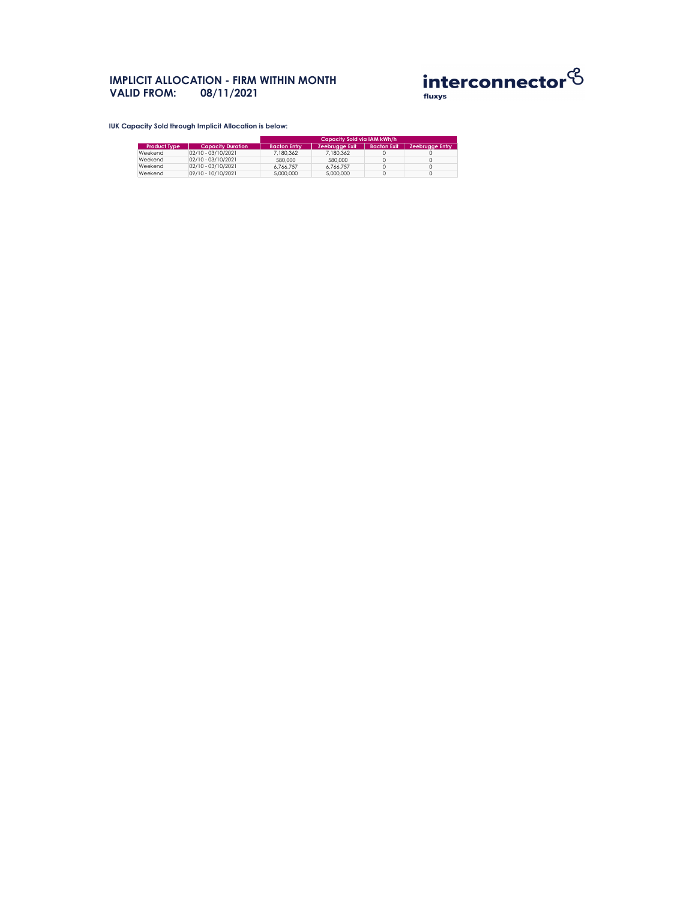# **IMPLICIT ALLOCATION - FIRM WITHIN MONTH VALID FROM: 08/11/2021**



**IUK Capacity Sold through Implicit Allocation is below:** 

|                     |                          | Capacity Sold via IAM <u>kWh/h</u> |                       |                    |                        |  |
|---------------------|--------------------------|------------------------------------|-----------------------|--------------------|------------------------|--|
| <b>Product Type</b> | <b>Capacity Duration</b> | <b>Bacton Entry</b>                | <b>Zeebrugge Exit</b> | <b>Bacton Exit</b> | <b>Zeebrugge Entry</b> |  |
| Weekend             | $ 02/10 - 03/10/2021 $   | 7,180,362                          | 7,180,362             |                    |                        |  |
| Weekend             | 02/10 - 03/10/2021       | 580,000                            | 580,000               |                    |                        |  |
| Weekend             | 02/10 - 03/10/2021       | 6,766,757                          | 6,766,757             |                    |                        |  |
| Weekend             | 09/10 - 10/10/2021       | 5,000,000                          | 5,000,000             |                    |                        |  |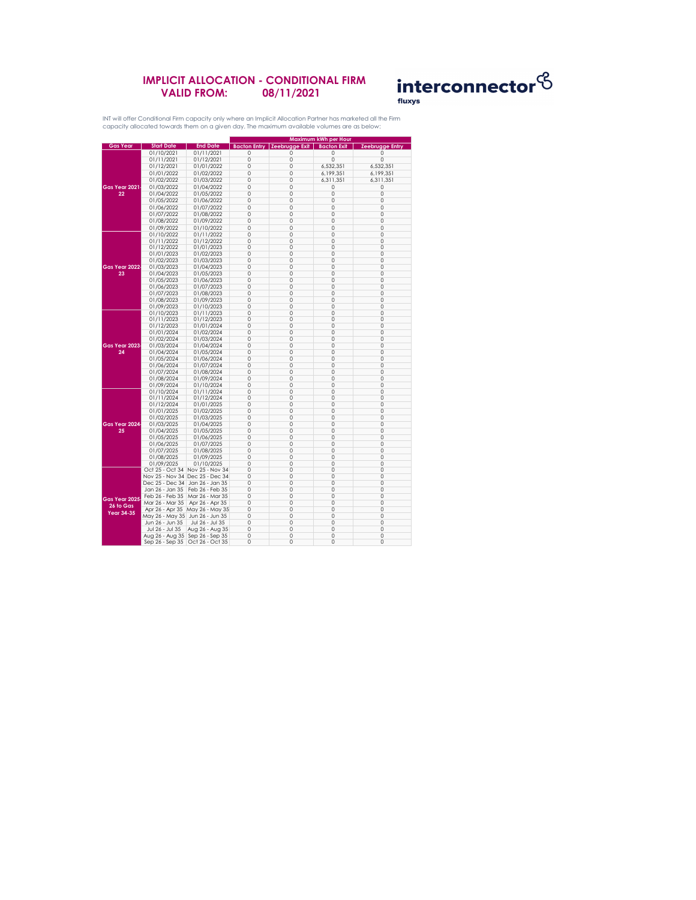## **IMPLICIT ALLOCATION - CONDITIONAL FIRM VALID FROM: 08/11/2021**



|                            |                                   |                                   | Maximum kWh per Hour             |                     |                    |                        |  |
|----------------------------|-----------------------------------|-----------------------------------|----------------------------------|---------------------|--------------------|------------------------|--|
| <b>Gas Year</b>            | <b>Start Date</b>                 | <b>End Date</b>                   | <b>Bacton Entry</b>              | Zeebrugge Exit      | <b>Bacton Exit</b> | <b>Zeebrugge Entry</b> |  |
|                            | 01/10/2021                        | 01/11/2021                        | 0                                | 0                   | 0                  |                        |  |
|                            | 01/11/2021                        | 01/12/2021                        | $\overline{O}$                   | $\overline{O}$      | 0                  | 0                      |  |
|                            | 01/12/2021                        | 01/01/2022                        | 0                                | 0                   | 6,532,351          | 6,532,351              |  |
|                            | 01/01/2022                        | 01/02/2022                        | $\overline{0}$                   | $\overline{0}$      | 6,199,351          | 6,199,351              |  |
|                            | 01/02/2022                        | 01/03/2022                        | $\overline{O}$                   | $\overline{O}$      | 6,311,351          | 6,311,351              |  |
| <b>Gas Year 2021</b>       | 01/03/2022                        | 01/04/2022                        | $\overline{0}$                   | $\overline{0}$      |                    | 0                      |  |
|                            |                                   |                                   |                                  |                     | 0                  |                        |  |
| 22                         | 01/04/2022                        | 01/05/2022                        | $\overline{0}$                   | $\overline{0}$      | 0                  | 0                      |  |
|                            | 01/05/2022                        | 01/06/2022                        | $\overline{O}$                   | $\overline{O}$      | 0                  | 0                      |  |
|                            | 01/06/2022                        | 01/07/2022                        | 0                                | 0                   | 0                  | 0                      |  |
|                            | 01/07/2022                        | 01/08/2022                        | $\overline{O}$                   | $\overline{0}$      | 0                  | 0                      |  |
|                            | 01/08/2022                        | 01/09/2022                        | $\overline{O}$                   | $\overline{O}$      | 0                  | 0                      |  |
|                            | 01/09/2022                        | 01/10/2022                        | $\overline{0}$                   | 0                   | 0                  | 0                      |  |
|                            | 01/10/2022                        | 01/11/2022                        | $\overline{0}$                   | 0                   | 0                  | 0                      |  |
|                            | 01/11/2022                        | 01/12/2022                        | $\overline{0}$                   | $\overline{0}$      | 0                  | 0                      |  |
|                            | 01/12/2022                        | 01/01/2023                        | 0                                | $\overline{O}$      | 0                  | 0                      |  |
|                            | 01/01/2023                        | 01/02/2023                        | $\overline{O}$                   | 0                   | 0                  | 0                      |  |
|                            | 01/02/2023                        | 01/03/2023                        | 0                                | 0                   | 0                  | 0                      |  |
| Gas Year 2022.             | 01/03/2023                        | 01/04/2023                        | $\overline{0}$                   | $\overline{0}$      | 0                  | 0                      |  |
| 23                         | 01/04/2023                        | 01/05/2023                        | $\overline{0}$                   | $\overline{O}$      | 0                  | 0                      |  |
|                            | 01/05/2023                        | 01/06/2023                        | $\overline{O}$                   | $\overline{O}$      | 0                  | 0                      |  |
|                            | 01/06/2023                        | 01/07/2023                        | $\overline{0}$                   | 0                   | 0                  | 0                      |  |
|                            | 01/07/2023                        | 01/08/2023                        | $\overline{0}$                   | $\overline{0}$      | 0                  | 0                      |  |
|                            | 01/08/2023                        | 01/09/2023                        | $\overline{0}$                   | $\overline{0}$      | 0                  | 0                      |  |
|                            |                                   |                                   |                                  |                     |                    |                        |  |
|                            | 01/09/2023                        | 01/10/2023                        | $\overline{O}$<br>$\overline{O}$ | $\overline{O}$<br>0 | 0<br>0             | 0                      |  |
|                            | 01/10/2023                        | 01/11/2023                        |                                  |                     |                    | 0                      |  |
|                            | 01/11/2023                        | 01/12/2023                        | $\overline{0}$                   | $\overline{0}$      | 0                  | 0                      |  |
|                            | 01/12/2023                        | 01/01/2024                        | $\overline{0}$                   | $\overline{0}$      | 0                  | 0                      |  |
|                            | 01/01/2024                        | 01/02/2024                        | 0                                | $\overline{O}$      | 0                  | 0                      |  |
|                            | 01/02/2024                        | 01/03/2024                        | $\overline{O}$                   | $\overline{O}$      | 0                  | 0                      |  |
| Gas Year 2023              | 01/03/2024                        | 01/04/2024                        | 0                                | 0                   | 0                  | 0                      |  |
| 24                         | 01/04/2024                        | 01/05/2024                        | $\overline{0}$                   | $\overline{0}$      | 0                  | 0                      |  |
|                            | 01/05/2024                        | 01/06/2024                        | 0                                | 0                   | 0                  | 0                      |  |
|                            | 01/06/2024                        | 01/07/2024                        | $\overline{0}$                   | $\overline{O}$      | 0                  | 0                      |  |
|                            | 01/07/2024                        | 01/08/2024                        | 0                                | 0                   | 0                  | 0                      |  |
|                            | 01/08/2024                        | 01/09/2024                        | 0                                | 0                   | 0                  | 0                      |  |
|                            | 01/09/2024                        | 01/10/2024                        | 0                                | 0                   | 0                  | 0                      |  |
|                            | 01/10/2024                        | 01/11/2024                        | $\overline{O}$                   | $\overline{O}$      | 0                  | 0                      |  |
|                            | 01/11/2024                        | 01/12/2024                        | 0                                | 0                   | 0                  | 0                      |  |
|                            | 01/12/2024                        | 01/01/2025                        | 0                                | $\overline{0}$      | 0                  | 0                      |  |
|                            | 01/01/2025                        | 01/02/2025                        | $\overline{O}$                   | 0                   | 0                  | 0                      |  |
|                            | 01/02/2025                        | 01/03/2025                        | 0                                | 0                   | 0                  | 0                      |  |
| Gas Year 2024              | 01/03/2025                        | 01/04/2025                        | 0                                | 0                   | 0                  | 0                      |  |
| 25                         | 01/04/2025                        | 01/05/2025                        | 0                                | 0                   | 0                  | 0                      |  |
|                            | 01/05/2025                        | 01/06/2025                        | 0                                | $\overline{0}$      | 0                  | 0                      |  |
|                            | 01/06/2025                        | 01/07/2025                        | 0                                | 0                   | 0                  | 0                      |  |
|                            | 01/07/2025                        | 01/08/2025                        | 0                                | 0                   | 0                  | 0                      |  |
|                            | 01/08/2025                        | 01/09/2025                        | 0                                | 0                   | 0                  | 0                      |  |
|                            | 01/09/2025                        | 01/10/2025                        | $\overline{0}$                   | $\mathbf 0$         | 0                  | 0                      |  |
|                            |                                   | Oct 25 - Oct 34 Nov 25 - Nov 34   | 0                                | $\mathbf 0$         | 0                  | 0                      |  |
|                            |                                   | Nov 25 - Nov 34 Dec 25 - Dec 34   | 0                                | $\overline{O}$      | 0                  | 0                      |  |
|                            | Dec 25 - Dec 34   Jan 26 - Jan 35 |                                   | 0                                | 0                   | 0                  | 0                      |  |
|                            | Jan 26 - Jan 35                   | Feb 26 - Feb 35                   | $\overline{0}$                   | $\overline{0}$      | 0                  | 0                      |  |
| Gas Year 2025<br>26 to Gas | Feb 26 - Feb 35                   | Mar 26 - Mar 35                   | 0                                | $\overline{0}$      | 0                  | 0                      |  |
|                            | Mar 26 - Mar 35                   | Apr 26 - Apr 35                   | $\overline{O}$                   | $\overline{O}$      | 0                  | 0                      |  |
|                            | Apr 26 - Apr 35                   | May 26 - May 35                   | $\overline{O}$                   | 0                   | 0                  | 0                      |  |
| <b>Year 34-35</b>          | May 26 - May 35 Jun 26 - Jun 35   |                                   | 0                                | 0                   | 0                  | 0                      |  |
|                            | Jun 26 - Jun 35                   | Jul 26 - Jul 35                   | $\overline{0}$                   | $\mathbf 0$         | 0                  | 0                      |  |
|                            | Jul 26 - Jul 35                   |                                   | $\overline{O}$                   | $\overline{O}$      | 0                  | 0                      |  |
|                            |                                   | Aug 26 - Aug 35                   | 0                                | $\mathbf 0$         | 0                  |                        |  |
|                            | Aug 26 - Aug 35   Sep 26 - Sep 35 |                                   |                                  |                     |                    | 0                      |  |
|                            |                                   | Sep 26 - Sep 35   Oct 26 - Oct 35 | 0                                | $\overline{O}$      | 0                  | 0                      |  |

INT will offer Conditional Firm capacity only where an Implicit Allocation Partner has marketed all the Firm capacity allocated towards them on a given day. The maximum available volumes are as below: